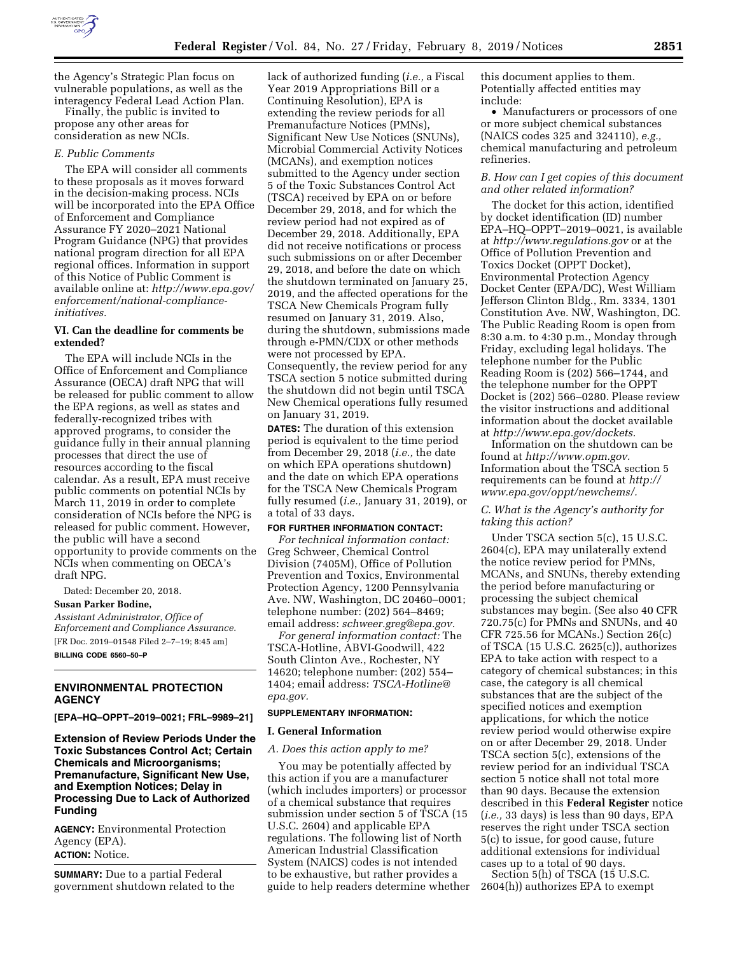

the Agency's Strategic Plan focus on vulnerable populations, as well as the interagency Federal Lead Action Plan.

Finally, the public is invited to propose any other areas for consideration as new NCIs.

## *E. Public Comments*

The EPA will consider all comments to these proposals as it moves forward in the decision-making process. NCIs will be incorporated into the EPA Office of Enforcement and Compliance Assurance FY 2020–2021 National Program Guidance (NPG) that provides national program direction for all EPA regional offices. Information in support of this Notice of Public Comment is available online at: *[http://www.epa.gov/](http://www.epa.gov/enforcement/national-compliance-initiatives) [enforcement/national-compliance](http://www.epa.gov/enforcement/national-compliance-initiatives)[initiatives.](http://www.epa.gov/enforcement/national-compliance-initiatives)* 

# **VI. Can the deadline for comments be extended?**

The EPA will include NCIs in the Office of Enforcement and Compliance Assurance (OECA) draft NPG that will be released for public comment to allow the EPA regions, as well as states and federally-recognized tribes with approved programs, to consider the guidance fully in their annual planning processes that direct the use of resources according to the fiscal calendar. As a result, EPA must receive public comments on potential NCIs by March 11, 2019 in order to complete consideration of NCIs before the NPG is released for public comment. However, the public will have a second opportunity to provide comments on the NCIs when commenting on OECA's draft NPG.

Dated: December 20, 2018.

#### **Susan Parker Bodine,**

*Assistant Administrator, Office of Enforcement and Compliance Assurance.*  [FR Doc. 2019–01548 Filed 2–7–19; 8:45 am] **BILLING CODE 6560–50–P** 

# **ENVIRONMENTAL PROTECTION AGENCY**

**[EPA–HQ–OPPT–2019–0021; FRL–9989–21]** 

# **Extension of Review Periods Under the Toxic Substances Control Act; Certain Chemicals and Microorganisms; Premanufacture, Significant New Use, and Exemption Notices; Delay in Processing Due to Lack of Authorized Funding**

**AGENCY:** Environmental Protection Agency (EPA). **ACTION:** Notice.

**SUMMARY:** Due to a partial Federal government shutdown related to the

lack of authorized funding (*i.e.,* a Fiscal Year 2019 Appropriations Bill or a Continuing Resolution), EPA is extending the review periods for all Premanufacture Notices (PMNs), Significant New Use Notices (SNUNs), Microbial Commercial Activity Notices (MCANs), and exemption notices submitted to the Agency under section 5 of the Toxic Substances Control Act (TSCA) received by EPA on or before December 29, 2018, and for which the review period had not expired as of December 29, 2018. Additionally, EPA did not receive notifications or process such submissions on or after December 29, 2018, and before the date on which the shutdown terminated on January 25, 2019, and the affected operations for the TSCA New Chemicals Program fully resumed on January 31, 2019. Also, during the shutdown, submissions made through e-PMN/CDX or other methods were not processed by EPA. Consequently, the review period for any TSCA section 5 notice submitted during the shutdown did not begin until TSCA

New Chemical operations fully resumed on January 31, 2019. **DATES:** The duration of this extension

period is equivalent to the time period from December 29, 2018 (*i.e.,* the date on which EPA operations shutdown) and the date on which EPA operations for the TSCA New Chemicals Program fully resumed (*i.e.,* January 31, 2019), or a total of 33 days.

# **FOR FURTHER INFORMATION CONTACT:**

*For technical information contact:*  Greg Schweer, Chemical Control Division (7405M), Office of Pollution Prevention and Toxics, Environmental Protection Agency, 1200 Pennsylvania Ave. NW, Washington, DC 20460–0001; telephone number: (202) 564–8469; email address: *[schweer.greg@epa.gov.](mailto:schweer.greg@epa.gov)* 

*For general information contact:* The TSCA-Hotline, ABVI-Goodwill, 422 South Clinton Ave., Rochester, NY 14620; telephone number: (202) 554– 1404; email address: *[TSCA-Hotline@](mailto:TSCA-Hotline@epa.gov) [epa.gov.](mailto:TSCA-Hotline@epa.gov)* 

#### **SUPPLEMENTARY INFORMATION:**

#### **I. General Information**

## *A. Does this action apply to me?*

You may be potentially affected by this action if you are a manufacturer (which includes importers) or processor of a chemical substance that requires submission under section 5 of TSCA (15 U.S.C. 2604) and applicable EPA regulations. The following list of North American Industrial Classification System (NAICS) codes is not intended to be exhaustive, but rather provides a guide to help readers determine whether this document applies to them. Potentially affected entities may include:

• Manufacturers or processors of one or more subject chemical substances (NAICS codes 325 and 324110), *e.g.,*  chemical manufacturing and petroleum refineries.

# *B. How can I get copies of this document and other related information?*

The docket for this action, identified by docket identification (ID) number EPA–HQ–OPPT–2019–0021, is available at *<http://www.regulations.gov>* or at the Office of Pollution Prevention and Toxics Docket (OPPT Docket), Environmental Protection Agency Docket Center (EPA/DC), West William Jefferson Clinton Bldg., Rm. 3334, 1301 Constitution Ave. NW, Washington, DC. The Public Reading Room is open from 8:30 a.m. to 4:30 p.m., Monday through Friday, excluding legal holidays. The telephone number for the Public Reading Room is (202) 566–1744, and the telephone number for the OPPT Docket is (202) 566–0280. Please review the visitor instructions and additional information about the docket available at *[http://www.epa.gov/dockets.](http://www.epa.gov/dockets)* 

Information on the shutdown can be found at *[http://www.opm.gov.](http://www.opm.gov)*  Information about the TSCA section 5 requirements can be found at *[http://](http://www.epa.gov/oppt/newchems/) [www.epa.gov/oppt/newchems/.](http://www.epa.gov/oppt/newchems/)* 

## *C. What is the Agency's authority for taking this action?*

Under TSCA section 5(c), 15 U.S.C. 2604(c), EPA may unilaterally extend the notice review period for PMNs, MCANs, and SNUNs, thereby extending the period before manufacturing or processing the subject chemical substances may begin. (See also 40 CFR 720.75(c) for PMNs and SNUNs, and 40 CFR 725.56 for MCANs.) Section 26(c) of TSCA (15 U.S.C. 2625(c)), authorizes EPA to take action with respect to a category of chemical substances; in this case, the category is all chemical substances that are the subject of the specified notices and exemption applications, for which the notice review period would otherwise expire on or after December 29, 2018. Under TSCA section 5(c), extensions of the review period for an individual TSCA section 5 notice shall not total more than 90 days. Because the extension described in this **Federal Register** notice (*i.e.,* 33 days) is less than 90 days, EPA reserves the right under TSCA section 5(c) to issue, for good cause, future additional extensions for individual cases up to a total of 90 days.

Section 5(h) of TSCA (15 U.S.C. 2604(h)) authorizes EPA to exempt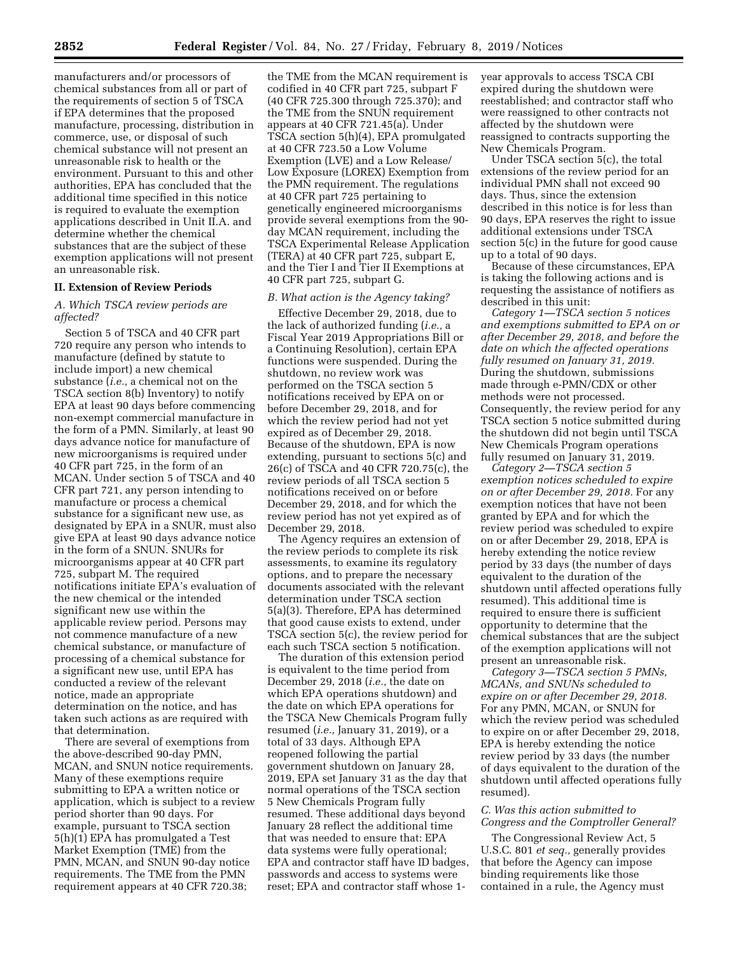manufacturers and/or processors of chemical substances from all or part of the requirements of section 5 of TSCA if EPA determines that the proposed manufacture, processing, distribution in commerce, use, or disposal of such chemical substance will not present an unreasonable risk to health or the environment. Pursuant to this and other authorities, EPA has concluded that the additional time specified in this notice is required to evaluate the exemption applications described in Unit II.A. and determine whether the chemical substances that are the subject of these exemption applications will not present an unreasonable risk.

### **II. Extension of Review Periods**

## *A. Which TSCA review periods are affected?*

Section 5 of TSCA and 40 CFR part 720 require any person who intends to manufacture (defined by statute to include import) a new chemical substance (*i.e.,* a chemical not on the TSCA section 8(b) Inventory) to notify EPA at least 90 days before commencing non-exempt commercial manufacture in the form of a PMN. Similarly, at least 90 days advance notice for manufacture of new microorganisms is required under 40 CFR part 725, in the form of an MCAN. Under section 5 of TSCA and 40 CFR part 721, any person intending to manufacture or process a chemical substance for a significant new use, as designated by EPA in a SNUR, must also give EPA at least 90 days advance notice in the form of a SNUN. SNURs for microorganisms appear at 40 CFR part 725, subpart M. The required notifications initiate EPA's evaluation of the new chemical or the intended significant new use within the applicable review period. Persons may not commence manufacture of a new chemical substance, or manufacture of processing of a chemical substance for a significant new use, until EPA has conducted a review of the relevant notice, made an appropriate determination on the notice, and has taken such actions as are required with that determination.

There are several of exemptions from the above-described 90-day PMN, MCAN, and SNUN notice requirements. Many of these exemptions require submitting to EPA a written notice or application, which is subject to a review period shorter than 90 days. For example, pursuant to TSCA section 5(h)(1) EPA has promulgated a Test Market Exemption (TME) from the PMN, MCAN, and SNUN 90-day notice requirements. The TME from the PMN requirement appears at 40 CFR 720.38;

the TME from the MCAN requirement is codified in 40 CFR part 725, subpart F (40 CFR 725.300 through 725.370); and the TME from the SNUN requirement appears at 40 CFR 721.45(a). Under TSCA section 5(h)(4), EPA promulgated at 40 CFR 723.50 a Low Volume Exemption (LVE) and a Low Release/ Low Exposure (LOREX) Exemption from the PMN requirement. The regulations at 40 CFR part 725 pertaining to genetically engineered microorganisms provide several exemptions from the 90 day MCAN requirement, including the TSCA Experimental Release Application (TERA) at 40 CFR part 725, subpart E, and the Tier I and Tier II Exemptions at 40 CFR part 725, subpart G.

#### *B. What action is the Agency taking?*

Effective December 29, 2018, due to the lack of authorized funding (*i.e.,* a Fiscal Year 2019 Appropriations Bill or a Continuing Resolution), certain EPA functions were suspended. During the shutdown, no review work was performed on the TSCA section 5 notifications received by EPA on or before December 29, 2018, and for which the review period had not yet expired as of December 29, 2018. Because of the shutdown, EPA is now extending, pursuant to sections 5(c) and 26(c) of TSCA and 40 CFR 720.75(c), the review periods of all TSCA section 5 notifications received on or before December 29, 2018, and for which the review period has not yet expired as of December 29, 2018.

The Agency requires an extension of the review periods to complete its risk assessments, to examine its regulatory options, and to prepare the necessary documents associated with the relevant determination under TSCA section 5(a)(3). Therefore, EPA has determined that good cause exists to extend, under TSCA section 5(c), the review period for each such TSCA section 5 notification.

The duration of this extension period is equivalent to the time period from December 29, 2018 (*i.e.,* the date on which EPA operations shutdown) and the date on which EPA operations for the TSCA New Chemicals Program fully resumed (*i.e.,* January 31, 2019), or a total of 33 days. Although EPA reopened following the partial government shutdown on January 28, 2019, EPA set January 31 as the day that normal operations of the TSCA section 5 New Chemicals Program fully resumed. These additional days beyond January 28 reflect the additional time that was needed to ensure that: EPA data systems were fully operational; EPA and contractor staff have ID badges, passwords and access to systems were reset; EPA and contractor staff whose 1year approvals to access TSCA CBI expired during the shutdown were reestablished; and contractor staff who were reassigned to other contracts not affected by the shutdown were reassigned to contracts supporting the New Chemicals Program.

Under TSCA section 5(c), the total extensions of the review period for an individual PMN shall not exceed 90 days. Thus, since the extension described in this notice is for less than 90 days, EPA reserves the right to issue additional extensions under TSCA section 5(c) in the future for good cause up to a total of 90 days.

Because of these circumstances, EPA is taking the following actions and is requesting the assistance of notifiers as described in this unit:

*Category 1—TSCA section 5 notices and exemptions submitted to EPA on or after December 29, 2018, and before the date on which the affected operations fully resumed on January 31, 2019.*  During the shutdown, submissions made through e-PMN/CDX or other methods were not processed. Consequently, the review period for any TSCA section 5 notice submitted during the shutdown did not begin until TSCA New Chemicals Program operations fully resumed on January 31, 2019.

*Category 2—TSCA section 5 exemption notices scheduled to expire on or after December 29, 2018.* For any exemption notices that have not been granted by EPA and for which the review period was scheduled to expire on or after December 29, 2018, EPA is hereby extending the notice review period by 33 days (the number of days equivalent to the duration of the shutdown until affected operations fully resumed). This additional time is required to ensure there is sufficient opportunity to determine that the chemical substances that are the subject of the exemption applications will not present an unreasonable risk.

*Category 3—TSCA section 5 PMNs, MCANs, and SNUNs scheduled to expire on or after December 29, 2018.*  For any PMN, MCAN, or SNUN for which the review period was scheduled to expire on or after December 29, 2018, EPA is hereby extending the notice review period by 33 days (the number of days equivalent to the duration of the shutdown until affected operations fully resumed).

# *C. Was this action submitted to Congress and the Comptroller General?*

The Congressional Review Act, 5 U.S.C. 801 *et seq.,* generally provides that before the Agency can impose binding requirements like those contained in a rule, the Agency must